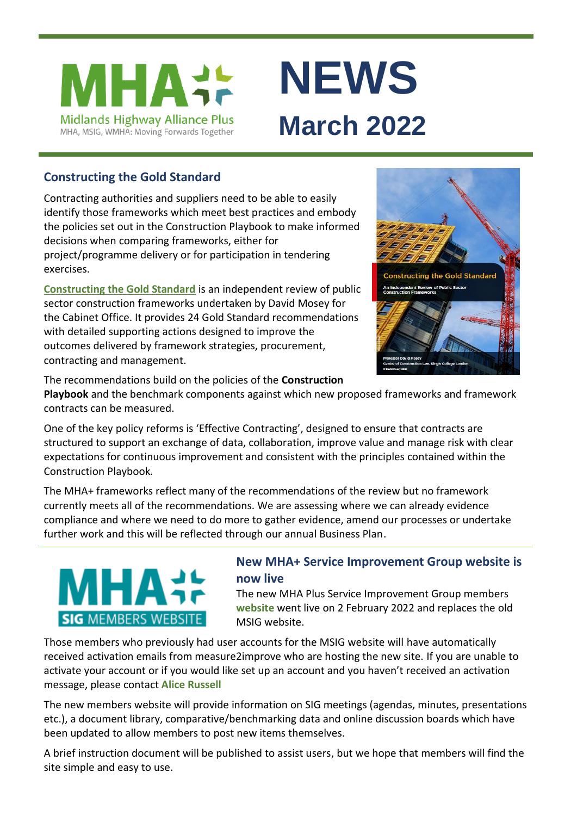



# **Constructing the Gold Standard**

Contracting authorities and suppliers need to be able to easily identify those frameworks which meet best practices and embody the policies set out in the Construction Playbook to make informed decisions when comparing frameworks, either for project/programme delivery or for participation in tendering exercises.

**[Constructing the Gold Standard](https://www.gov.uk/government/publications/an-independent-review-of-public-sector-construction-frameworks)** is an independent review of public sector construction frameworks undertaken by David Mosey for the Cabinet Office. It provides 24 Gold Standard recommendations with detailed supporting actions designed to improve the outcomes delivered by framework strategies, procurement, contracting and management.



The recommendations build on the policies of the **Construction** 

**Playbook** and the benchmark components against which new proposed frameworks and framework contracts can be measured.

One of the key policy reforms is 'Effective Contracting', designed to ensure that contracts are structured to support an exchange of data, collaboration, improve value and manage risk with clear expectations for continuous improvement and consistent with the principles contained within the Construction Playbook*.*

The MHA+ frameworks reflect many of the recommendations of the review but no framework currently meets all of the recommendations. We are assessing where we can already evidence compliance and where we need to do more to gather evidence, amend our processes or undertake further work and this will be reflected through our annual Business Plan.

# ИН. **SIG MEMBERS WEBSITE**

# **New MHA+ Service Improvement Group website is now live**

The new MHA Plus Service Improvement Group members **[website](https://www.m2iactiv.co.uk/mhaplus)** went live on 2 February 2022 and replaces the old MSIG website.

Those members who previously had user accounts for the MSIG website will have automatically received activation emails from measure2improve who are hosting the new site. If you are unable to activate your account or if you would like set up an account and you haven't received an activation message, please contact **[Alice Russell](mailto:alice.russell@derbyshire.gov.uk)**

The new members website will provide information on SIG meetings (agendas, minutes, presentations etc.), a document library, comparative/benchmarking data and online discussion boards which have been updated to allow members to post new items themselves.

A brief instruction document will be published to assist users, but we hope that members will find the site simple and easy to use.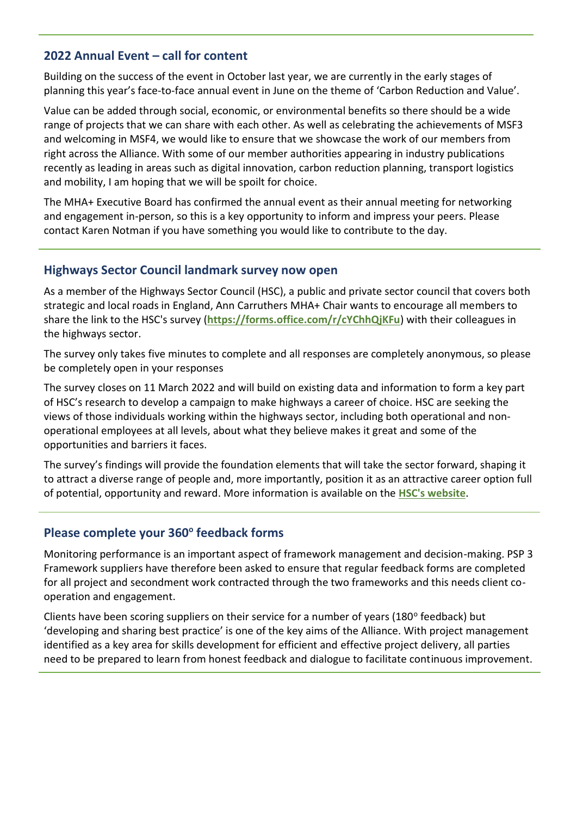### **2022 Annual Event – call for content**

Building on the success of the event in October last year, we are currently in the early stages of planning this year's face-to-face annual event in June on the theme of 'Carbon Reduction and Value'.

Value can be added through social, economic, or environmental benefits so there should be a wide range of projects that we can share with each other. As well as celebrating the achievements of MSF3 and welcoming in MSF4, we would like to ensure that we showcase the work of our members from right across the Alliance. With some of our member authorities appearing in industry publications recently as leading in areas such as digital innovation, carbon reduction planning, transport logistics and mobility, I am hoping that we will be spoilt for choice.

The MHA+ Executive Board has confirmed the annual event as their annual meeting for networking and engagement in-person, so this is a key opportunity to inform and impress your peers. Please contact Karen Notman if you have something you would like to contribute to the day.

#### **Highways Sector Council landmark survey now open**

As a member of the Highways Sector Council (HSC), a public and private sector council that covers both strategic and local roads in England, Ann Carruthers MHA+ Chair wants to encourage all members to share the link to the HSC's survey (**<https://forms.office.com/r/cYChhQjKFu>**) with their colleagues in the highways sector.

The survey only takes five minutes to complete and all responses are completely anonymous, so please be completely open in your responses

The survey closes on 11 March 2022 and will build on existing data and information to form a key part of HSC's research to develop a campaign to make highways a career of choice. HSC are seeking the views of those individuals working within the highways sector, including both operational and nonoperational employees at all levels, about what they believe makes it great and some of the opportunities and barriers it faces.

The survey's findings will provide the foundation elements that will take the sector forward, shaping it to attract a diverse range of people and, more importantly, position it as an attractive career option full of potential, opportunity and reward. More information is available on the **[HSC's website](https://highwayssectorcouncil.com/landmark-survey-sets-to-make-highways-a-career-of-choice/)**.

# **Please complete your 360<sup>o</sup> feedback forms**

Monitoring performance is an important aspect of framework management and decision-making. PSP 3 Framework suppliers have therefore been asked to ensure that regular feedback forms are completed for all project and secondment work contracted through the two frameworks and this needs client cooperation and engagement.

Clients have been scoring suppliers on their service for a number of years (180° feedback) but 'developing and sharing best practice' is one of the key aims of the Alliance. With project management identified as a key area for skills development for efficient and effective project delivery, all parties need to be prepared to learn from honest feedback and dialogue to facilitate continuous improvement.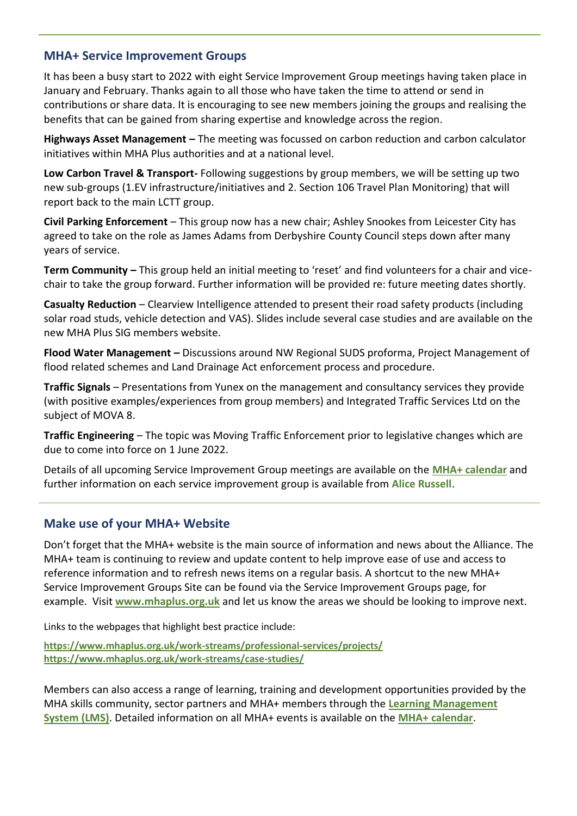#### **MHA+ Service Improvement Groups**

It has been a busy start to 2022 with eight Service Improvement Group meetings having taken place in January and February. Thanks again to all those who have taken the time to attend or send in contributions or share data. It is encouraging to see new members joining the groups and realising the benefits that can be gained from sharing expertise and knowledge across the region.

**Highways Asset Management –** The meeting was focussed on carbon reduction and carbon calculator initiatives within MHA Plus authorities and at a national level.

**Low Carbon Travel & Transport-** Following suggestions by group members, we will be setting up two new sub-groups (1.EV infrastructure/initiatives and 2. Section 106 Travel Plan Monitoring) that will report back to the main LCTT group.

**Civil Parking Enforcement** – This group now has a new chair; Ashley Snookes from Leicester City has agreed to take on the role as James Adams from Derbyshire County Council steps down after many years of service.

**Term Community –** This group held an initial meeting to 'reset' and find volunteers for a chair and vicechair to take the group forward. Further information will be provided re: future meeting dates shortly.

**Casualty Reduction** – Clearview Intelligence attended to present their road safety products (including solar road studs, vehicle detection and VAS). Slides include several case studies and are available on the new MHA Plus SIG members website.

**Flood Water Management –** Discussions around NW Regional SUDS proforma, Project Management of flood related schemes and Land Drainage Act enforcement process and procedure.

**Traffic Signals** – Presentations from Yunex on the management and consultancy services they provide (with positive examples/experiences from group members) and Integrated Traffic Services Ltd on the subject of MOVA 8.

**Traffic Engineering** – The topic was Moving Traffic Enforcement prior to legislative changes which are due to come into force on 1 June 2022.

Details of all upcoming Service Improvement Group meetings are available on the **[MHA+ calendar](https://www.mhaplus.org.uk/calendar/)** and further information on each service improvement group is available from **[Alice Russell](mailto:alice.russell@derbyshire.gov.uk)**.

## **Make use of your MHA+ Website**

Don't forget that the MHA+ website is the main source of information and news about the Alliance. The MHA+ team is continuing to review and update content to help improve ease of use and access to reference information and to refresh news items on a regular basis. A shortcut to the new MHA+ Service Improvement Groups Site can be found via the Service Improvement Groups page, for example. Visit **[www.mhaplus.org.uk](https://www.mhaplus.org.uk/)** and let us know the areas we should be looking to improve next.

Links to the webpages that highlight best practice include:

**<https://www.mhaplus.org.uk/work-streams/professional-services/projects/> <https://www.mhaplus.org.uk/work-streams/case-studies/>**

Members can also access a range of learning, training and development opportunities provided by the MHA skills community, sector partners and MHA+ members through the **[Learning Management](https://www.mhaplus.org.uk/work-streams/skills-academy/learning-and-development/learning-management-system/)  [System \(LMS\)](https://www.mhaplus.org.uk/work-streams/skills-academy/learning-and-development/learning-management-system/)**. Detailed information on all MHA+ events is available on the **[MHA+ calendar](https://www.mhaplus.org.uk/calendar/)**.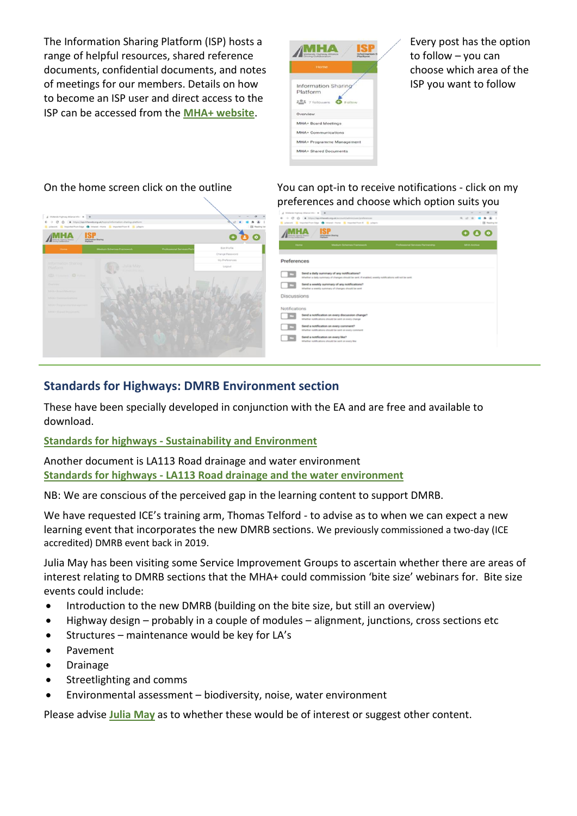The Information Sharing Platform (ISP) hosts a range of helpful resources, shared reference documents, confidential documents, and notes of meetings for our members. Details on how to become an ISP user and direct access to the ISP can be accessed from the **[MHA+ website](https://www.mhaplus.org.uk/member/)**.



Every post has the option to follow – you can choose which area of the ISP you want to follow



On the home screen click on the outline You can opt-in to receive notifications - click on my preferences and choose which option suits you

| A Midwid Harvay Manachine # 1<br>0 0 0 1 MystlankeebayAlecontinhilum/peterson<br>E places. E represiónados & resea nuns. E represión E. E places                  | <b>SCIENTIST</b><br><b>Service Control</b><br>.       | $\sigma$<br>$-10$<br><b>CO</b> Fleeding hat |
|-------------------------------------------------------------------------------------------------------------------------------------------------------------------|-------------------------------------------------------|---------------------------------------------|
| <b><i><u>Internation Sharing</u></i></b>                                                                                                                          |                                                       | l o                                         |
| Madium Schemes Framework<br><b>Home</b>                                                                                                                           | Professional Services Partnership<br><b>MIGLACIÓN</b> |                                             |
| Preferences                                                                                                                                                       |                                                       |                                             |
| Send a daily summary of any notifications?<br><b>ICS</b><br>Whether a daily summary of changes should be sent. If enabled, weekly notifications will not be sent. |                                                       |                                             |
| Send a weekly summary of any notifications?<br><b>IC</b><br>Whether a weekly summary of changes should be sent                                                    |                                                       |                                             |
| <b>Discussions</b>                                                                                                                                                |                                                       |                                             |
| Notifications<br>Send a notification on every discussion change?<br>trivetur soblications should be sent on every change                                          |                                                       |                                             |
| Send a notification on every comment?<br>œ<br>Whether notifications should be sent on every comment.                                                              |                                                       |                                             |
| Send a notification on every like?<br>Whether notifications should be sent on every like                                                                          |                                                       |                                             |
|                                                                                                                                                                   |                                                       |                                             |

#### **Standards for Highways: DMRB Environment section**

These have been specially developed in conjunction with the EA and are free and available to download.

#### **Standards for highways - [Sustainability and Environment](https://standardsforhighways.co.uk/dmrb/search?discipline=SUSTAINABILITY_AND_ENVIRONMENT)**

Another document is LA113 Road drainage and water environment **Standards for highways - [LA113 Road drainage and the water environment](https://www.standardsforhighways.co.uk/prod/attachments/d6388f5f-2694-4986-ac46-b17b62c21727?inline=true)**

NB: We are conscious of the perceived gap in the learning content to support DMRB.

We have requested ICE's training arm, Thomas Telford - to advise as to when we can expect a new learning event that incorporates the new DMRB sections. We previously commissioned a two-day (ICE accredited) DMRB event back in 2019.

Julia May has been visiting some Service Improvement Groups to ascertain whether there are areas of interest relating to DMRB sections that the MHA+ could commission 'bite size' webinars for. Bite size events could include:

- Introduction to the new DMRB (building on the bite size, but still an overview)
- Highway design probably in a couple of modules alignment, junctions, cross sections etc
- Structures maintenance would be key for LA's
- Pavement
- Drainage
- Streetlighting and comms
- Environmental assessment biodiversity, noise, water environment

Please advise **[Julia May](mailto:julia.may@leics.gov.uk)** as to whether these would be of interest or suggest other content.